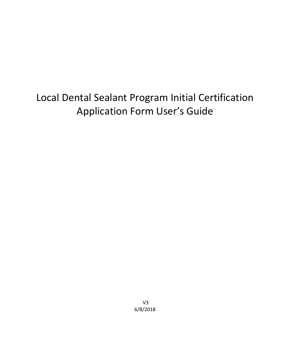# Local Dental Sealant Program Initial Certification Application Form User's Guide

V3 6/8/2018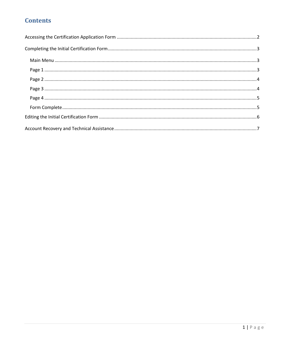### **Contents**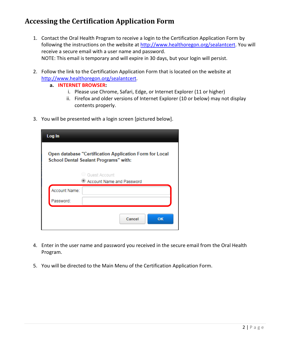### <span id="page-2-0"></span>**Accessing the Certification Application Form**

- 1. Contact the Oral Health Program to receive a login to the Certification Application Form by following the instructions on the website at [http://www.healthoregon.org/sealantcert.](http://www.healthoregon.org/sealantcert) You will receive a secure email with a user name and password. NOTE: This email is temporary and will expire in 30 days, but your login will persist.
- 2. Follow the link to the Certification Application Form that is located on the website at [http://www.healthoregon.org/sealantcert.](http://www.healthoregon.org/sealantcert)
	- **a. INTERNET BROWSER:** 
		- i. Please use Chrome, Safari, Edge, or Internet Explorer (11 or higher)
		- ii. Firefox and older versions of Internet Explorer (10 or below) may not display contents properly.
- 3. You will be presented with a login screen [pictured below].

| Log In                                                                                           |    |  |  |  |  |  |
|--------------------------------------------------------------------------------------------------|----|--|--|--|--|--|
| Open database "Certification Application Form for Local<br>School Dental Sealant Programs" with: |    |  |  |  |  |  |
| Guest Account                                                                                    |    |  |  |  |  |  |
| Account Name and Password                                                                        |    |  |  |  |  |  |
| Account Name:                                                                                    |    |  |  |  |  |  |
| Password:                                                                                        |    |  |  |  |  |  |
| Cancel                                                                                           | OK |  |  |  |  |  |

- 4. Enter in the user name and password you received in the secure email from the Oral Health Program.
- 5. You will be directed to the Main Menu of the Certification Application Form.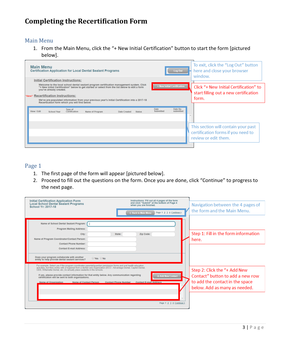### <span id="page-3-0"></span>**Completing the Recertification Form**

#### <span id="page-3-1"></span>Main Menu

1. From the Main Menu, click the "+ New Initial Certification" button to start the form [pictured below].

| <b>Main Menu</b><br><b>Certification Application for Local Dental Sealant Programs</b> |             |                                                                                                                                                                                                                                                                                                                                                                                                                                                                  |                          |                 |                             | Log Out       |                   | To exit, click the "Log Out" button<br>here and close your browser<br>window.            |  |                                                                                                   |
|----------------------------------------------------------------------------------------|-------------|------------------------------------------------------------------------------------------------------------------------------------------------------------------------------------------------------------------------------------------------------------------------------------------------------------------------------------------------------------------------------------------------------------------------------------------------------------------|--------------------------|-----------------|-----------------------------|---------------|-------------------|------------------------------------------------------------------------------------------|--|---------------------------------------------------------------------------------------------------|
|                                                                                        |             | <b>Initial Certification Instructions:</b><br>Welcome to the local school dental sealant program certification management system. Click<br>"+ New Initial Certification" below to get started or select from the list below to edit a form<br>you've already created.<br>"New!" Recertification Instructions:<br>We've pre-populated information from your previous year's Initial Certification into a 2017-18<br>Recertication form which you will find below. |                          |                 | + New Initial Certification |               |                   | Click "+ New Initial Certification" to<br>start filling out a new certification<br>form. |  |                                                                                                   |
|                                                                                        | View / Edit | <b>School Year</b>                                                                                                                                                                                                                                                                                                                                                                                                                                               | Type of<br>Certification | Name of Program | Date Created                | <b>Status</b> | Date<br>Submitted | Date Re-<br>submitted                                                                    |  | This section will contain your past<br>certification forms if you need to<br>review or edit them. |

#### <span id="page-3-2"></span>Page 1

- 1. The first page of the form will appear [pictured below].
- 2. Proceed to fill out the questions on the form. Once you are done, click "Continue" to progress to the next page.

| <b>Initial Certification Application Form</b><br><b>Local School Dental Sealant Programs</b><br><b>School Yr: 2017-18</b>                                                                                                                                                                                                                                                                                            | Instructions: Fill out all 4 pages of the form<br>and click "Submit" at the bottom of Page 4<br>when you are finished. | Navigation between the 4 pages of    |
|----------------------------------------------------------------------------------------------------------------------------------------------------------------------------------------------------------------------------------------------------------------------------------------------------------------------------------------------------------------------------------------------------------------------|------------------------------------------------------------------------------------------------------------------------|--------------------------------------|
|                                                                                                                                                                                                                                                                                                                                                                                                                      | < Back to Main Menu<br>Page 1 2 3 4 Continue >                                                                         | the form and the Main Menu.          |
| Name of School Dental Sealant Program:                                                                                                                                                                                                                                                                                                                                                                               |                                                                                                                        |                                      |
| Program Mailing Address:<br>City:<br>Name of Program Coordinator/Contact Person:                                                                                                                                                                                                                                                                                                                                     | Zip Code:<br>State:                                                                                                    | Step 1: Fill in the form information |
| <b>Contact Phone Number:</b><br><b>Contact E-mail Address:</b>                                                                                                                                                                                                                                                                                                                                                       |                                                                                                                        | here.                                |
| Does your program collaborate with another<br>⊙ Yes ⊙ No<br>entity to help provide dental sealant services?                                                                                                                                                                                                                                                                                                          |                                                                                                                        |                                      |
| For example: Select yes if the program coordinates parental/guardian permission forms and oral health education<br>activities, but then works with a hygienist from a dental care organization (DCO - Advantage Dental, Capitol Dental,<br>ODS, Willamette Dental, etc.) to actually place sealants in the schools.<br>If yes, please provide contact information for that entity below. Any communication regarding | Step 2: Click the "+ Add New                                                                                           |                                      |
| certification will be sent to both organizations.<br>Name of Contact Person<br>Name of Organization                                                                                                                                                                                                                                                                                                                  | Contact" button to add a new row<br>to add the contact in the space                                                    |                                      |
|                                                                                                                                                                                                                                                                                                                                                                                                                      |                                                                                                                        | below. Add as many as needed.        |
|                                                                                                                                                                                                                                                                                                                                                                                                                      | Page 1 2 3 4 Continue >                                                                                                |                                      |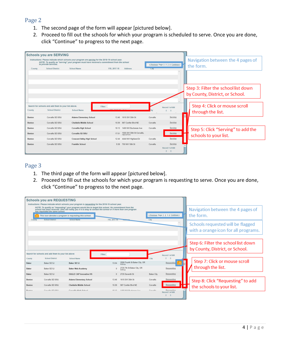#### <span id="page-4-0"></span>Page 2

- 1. The second page of the form will appear [pictured below].
- 2. Proceed to fill out the schools for which your program is scheduled to serve. Once you are done, click "Continue" to progress to the next page.



#### <span id="page-4-1"></span>Page 3

- 1. The third page of the form will appear [pictured below].
- 2. Proceed to fill out the schools for which your program is requesting to serve. Once you are done, click "Continue" to progress to the next page.

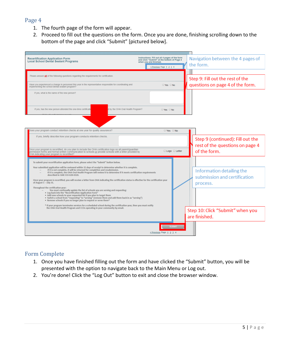#### <span id="page-5-0"></span>Page 4

- 1. The fourth page of the form will appear.
- 2. Proceed to fill out the questions on the form. Once you are done, finishing scrolling down to the bottom of the page and click "Submit" [pictured below].



### <span id="page-5-1"></span>Form Complete

- 1. Once you have finished filling out the form and have clicked the "Submit" button, you will be presented with the option to navigate back to the Main Menu or Log out.
- 2. You're done! Click the "Log Out" button to exit and close the browser window.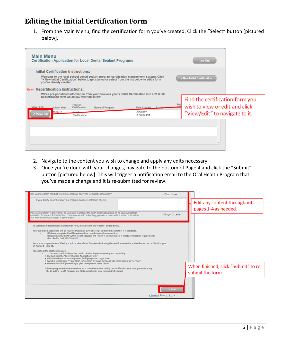### <span id="page-6-0"></span>**Editing the Initial Certification Form**

1. From the Main Menu, find the certification form you've created. Click the "Select" button [pictured below].



- 2. Navigate to the content you wish to change and apply any edits necessary.
- 3. Once you're done with your changes, navigate to the bottom of Page 4 and click the "Submit" button [pictured below]. This will trigger a notification email to the Oral Health Program that you've made a change and it is re-submitted for review.

| boes your program conduct retention checks at one year for quality assurance?                                                                                                                                                                                                                                                                              | $\circ$ Yes $\circ$ No                                                             |                                                          |
|------------------------------------------------------------------------------------------------------------------------------------------------------------------------------------------------------------------------------------------------------------------------------------------------------------------------------------------------------------|------------------------------------------------------------------------------------|----------------------------------------------------------|
| If yes, briefly describe how your program conducts retention checks.                                                                                                                                                                                                                                                                                       |                                                                                    | Edit any content throughout<br>pages 1-4 as needed.      |
| Dnce your program is recertified, do you plan to include the OHA certification logo on all parent/guardian<br>permission forms and formal written communication to schools or provide schools with a letter provided by<br>DHA indicating your program is recertified?                                                                                     | <b>Logo</b> Letter                                                                 |                                                          |
| To submit your recertification application form, please select the "Submit" button below.                                                                                                                                                                                                                                                                  |                                                                                    |                                                          |
| Your submitted application will be reviewed within 15 days of receipt to determine whether it is complete.<br>If it is not complete, it will be returned for completion and resubmission.<br>If it is complete, the OHA Oral Health Program will review it to determine if it meets certification requirements<br>described in OAR 333-028-0320.           |                                                                                    |                                                          |
| Once your program is recertified, you will receive a letter from OHA indicating the certification status is effective for the certification year<br>of August 1 - July 31.                                                                                                                                                                                 |                                                                                    |                                                          |
| Throughout the certification year:<br>You must continually update the list of schools you are serving and requesting:<br>. Log back into the "Recertification Application Form"<br>. Add new schools to your requested list if you plan to target them<br>. Switch a school from "requesting" to "serving" (remove them and add them back in as "serving") |                                                                                    |                                                          |
| . Remove schools if you no longer plan to request or serve them*<br>* If your program terminates services for a scheduled school during the certification year, then you must notify<br>the OHA Oral Health Program and CCOs operating in your community by email.                                                                                         |                                                                                    | When finished, click "Submit" to re-<br>submit the form. |
|                                                                                                                                                                                                                                                                                                                                                            |                                                                                    |                                                          |
|                                                                                                                                                                                                                                                                                                                                                            | <b>SUBMIT</b><br><previous 1="" 2="" 3="" 4<="" page="" td=""><td></td></previous> |                                                          |
|                                                                                                                                                                                                                                                                                                                                                            |                                                                                    |                                                          |